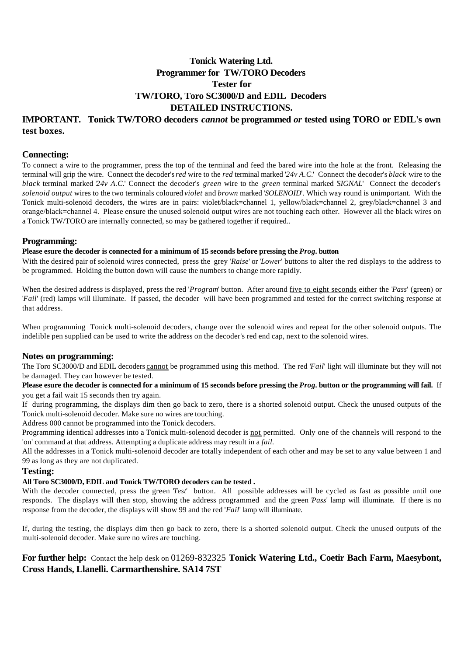### **Tonick Watering Ltd. Programmer for TW/TORO Decoders Tester for TW/TORO, Toro SC3000/D and EDIL Decoders DETAILED INSTRUCTIONS.**

#### **IMPORTANT. Tonick TW/TORO decoders** *cannot* **be programmed** *or* **tested using TORO or EDIL's own test boxes.**

#### **Connecting:**

To connect a wire to the programmer, press the top of the terminal and feed the bared wire into the hole at the front. Releasing the terminal will grip the wire. Connect the decoder's *red* wire to the *red* terminal marked '*24v A.C.*' Connect the decoder's *black* wire to the *black* terminal marked '*24v A.C.*' Connect the decoder's *green* wire to the *green* terminal marked '*SIGNAL*' Connect the decoder's *solenoid output* wires to the two terminals coloured *violet* and *brown* marked '*SOLENOID*'. Which way round is unimportant. With the Tonick multi-solenoid decoders, the wires are in pairs: violet/black=channel 1, yellow/black=channel 2, grey/black=channel 3 and orange/black=channel 4. Please ensure the unused solenoid output wires are not touching each other. However all the black wires on a Tonick TW/TORO are internally connected, so may be gathered together if required..

#### **Programming:**

**Please esure the decoder is connected for a minimum of 15 seconds before pressing the** *Prog.* **button**

With the desired pair of solenoid wires connected, press the grey '*Raise*' or '*Lower*' buttons to alter the red displays to the address to be programmed. Holding the button down will cause the numbers to change more rapidly.

When the desired address is displayed, press the red '*Program*' button. After around five to eight seconds either the '*Pass*' (green) or '*Fail*' (red) lamps will illuminate. If passed, the decoder will have been programmed and tested for the correct switching response at that address.

When programming Tonick multi-solenoid decoders, change over the solenoid wires and repeat for the other solenoid outputs. The indelible pen supplied can be used to write the address on the decoder's red end cap, next to the solenoid wires.

#### **Notes on programming:**

The Toro SC3000/D and EDIL decoders cannot be programmed using this method. The red '*Fail*' light will illuminate but they will not be damaged. They can however be tested.

**Please esure the decoder is connected for a minimum of 15 seconds before pressing the** *Prog.* **button or the programming will fail.** If you get a fail wait 15 seconds then try again.

If during programming, the displays dim then go back to zero, there is a shorted solenoid output. Check the unused outputs of the Tonick multi-solenoid decoder. Make sure no wires are touching.

Address 000 cannot be programmed into the Tonick decoders.

Programming identical addresses into a Tonick multi-solenoid decoder is not permitted. Only one of the channels will respond to the 'on' command at that address. Attempting a duplicate address may result in a *fail.*

All the addresses in a Tonick multi-solenoid decoder are totally independent of each other and may be set to any value between 1 and 99 as long as they are not duplicated.

#### **Testing:**

#### **All Toro SC3000/D, EDIL and Tonick TW/TORO decoders can be tested .**

With the decoder connected, press the green *Test'* button. All possible addresses will be cycled as fast as possible until one responds. The displays will then stop, showing the address programmed and the green '*Pass*' lamp will illuminate. If there is no response from the decoder, the displays will show 99 and the red '*Fail*' lamp will illuminate.

If, during the testing, the displays dim then go back to zero, there is a shorted solenoid output. Check the unused outputs of the multi-solenoid decoder. Make sure no wires are touching.

### **For further help:** Contact the help desk on 01269-832325 **Tonick Watering Ltd., Coetir Bach Farm, Maesybont, Cross Hands, Llanelli. Carmarthenshire. SA14 7ST**